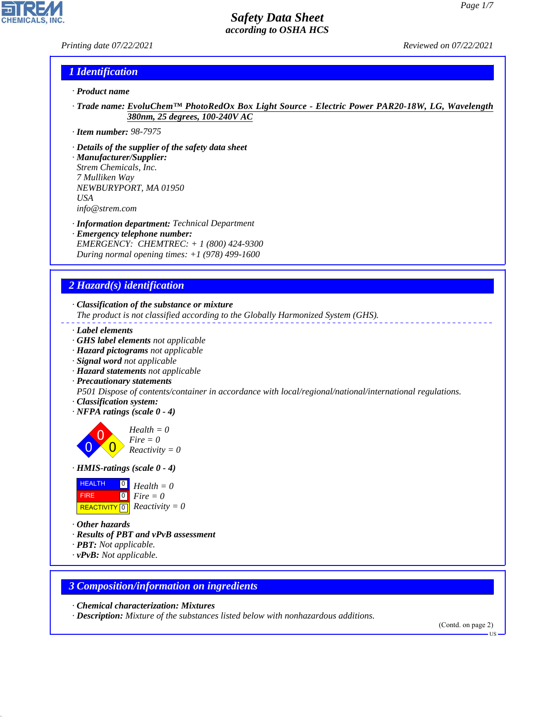# *Printing date 07/22/2021 Reviewed on 07/22/2021*

**CHEMICALS.** 

# *1 Identification*

- *· Product name*
- *· Trade name: EvoluChem™ PhotoRedOx Box Light Source Electric Power PAR20-18W, LG, Wavelength 380nm, 25 degrees, 100-240V AC*
- *· Item number: 98-7975*
- *· Details of the supplier of the safety data sheet*
- *· Manufacturer/Supplier: Strem Chemicals, Inc. 7 Mulliken Way NEWBURYPORT, MA 01950 USA info@strem.com*
- *· Information department: Technical Department*
- *· Emergency telephone number: EMERGENCY: CHEMTREC: + 1 (800) 424-9300 During normal opening times: +1 (978) 499-1600*

# *2 Hazard(s) identification*

*· Classification of the substance or mixture*

*The product is not classified according to the Globally Harmonized System (GHS).*

- *· Label elements*
- *· GHS label elements not applicable*
- *· Hazard pictograms not applicable*
- *· Signal word not applicable*
- *· Hazard statements not applicable*
- *· Precautionary statements*

*P501 Dispose of contents/container in accordance with local/regional/national/international regulations.*

- *· Classification system:*
- *· NFPA ratings (scale 0 4)*

0 0  $\overline{\mathbf{0}}$ *Health = 0 Fire = 0 Reactivity = 0*

*· HMIS-ratings (scale 0 - 4)*

| <b>HEALTH</b> | $\begin{bmatrix} 0 \\ 1 \end{bmatrix}$ Health = 0 |
|---------------|---------------------------------------------------|
| <b>FIRE</b>   | $\overline{\mathbf{0}}$ Fire = 0                  |
|               | REACTIVITY $\boxed{0}$ <i>Reactivity</i> = 0      |

*· Other hazards*

44.1.1

- *· Results of PBT and vPvB assessment*
- *· PBT: Not applicable.*
- *· vPvB: Not applicable.*

## *3 Composition/information on ingredients*

*· Chemical characterization: Mixtures*

*· Description: Mixture of the substances listed below with nonhazardous additions.*

(Contd. on page 2)

US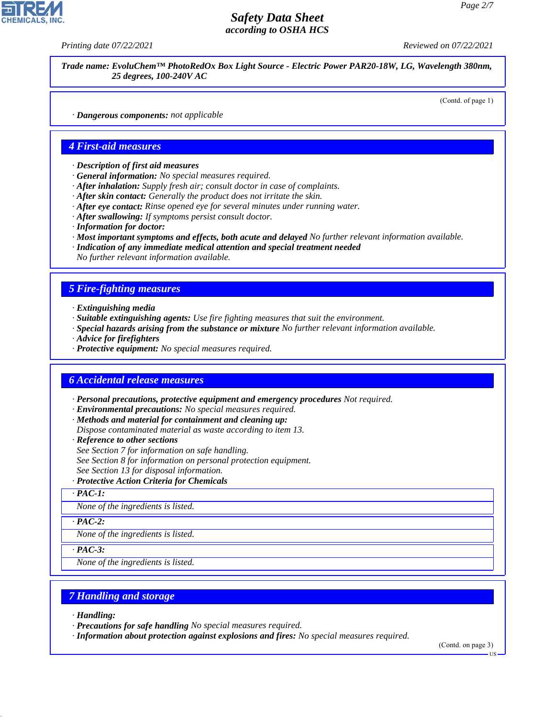*Printing date 07/22/2021 Reviewed on 07/22/2021*

*Trade name: EvoluChem™ PhotoRedOx Box Light Source - Electric Power PAR20-18W, LG, Wavelength 380nm, 25 degrees, 100-240V AC*

(Contd. of page 1)

*· Dangerous components: not applicable*

## *4 First-aid measures*

- *· Description of first aid measures*
- *· General information: No special measures required.*
- *· After inhalation: Supply fresh air; consult doctor in case of complaints.*
- *· After skin contact: Generally the product does not irritate the skin.*
- *· After eye contact: Rinse opened eye for several minutes under running water.*
- *· After swallowing: If symptoms persist consult doctor.*
- *· Information for doctor:*
- *· Most important symptoms and effects, both acute and delayed No further relevant information available.*
- *· Indication of any immediate medical attention and special treatment needed*

*No further relevant information available.*

# *5 Fire-fighting measures*

- *· Extinguishing media*
- *· Suitable extinguishing agents: Use fire fighting measures that suit the environment.*
- *· Special hazards arising from the substance or mixture No further relevant information available.*
- *· Advice for firefighters*
- *· Protective equipment: No special measures required.*

## *6 Accidental release measures*

- *· Personal precautions, protective equipment and emergency procedures Not required.*
- *· Environmental precautions: No special measures required.*
- *· Methods and material for containment and cleaning up:*
- *Dispose contaminated material as waste according to item 13.*
- *· Reference to other sections*
- *See Section 7 for information on safe handling.*
- *See Section 8 for information on personal protection equipment.*
- *See Section 13 for disposal information.*
- *· Protective Action Criteria for Chemicals*

*· PAC-1:*

*None of the ingredients is listed.*

*· PAC-2:*

*None of the ingredients is listed.*

*· PAC-3:*

*None of the ingredients is listed.*

## *7 Handling and storage*

*· Handling:*

44.1.1

- *· Precautions for safe handling No special measures required.*
- *· Information about protection against explosions and fires: No special measures required.*

(Contd. on page 3)

**HS**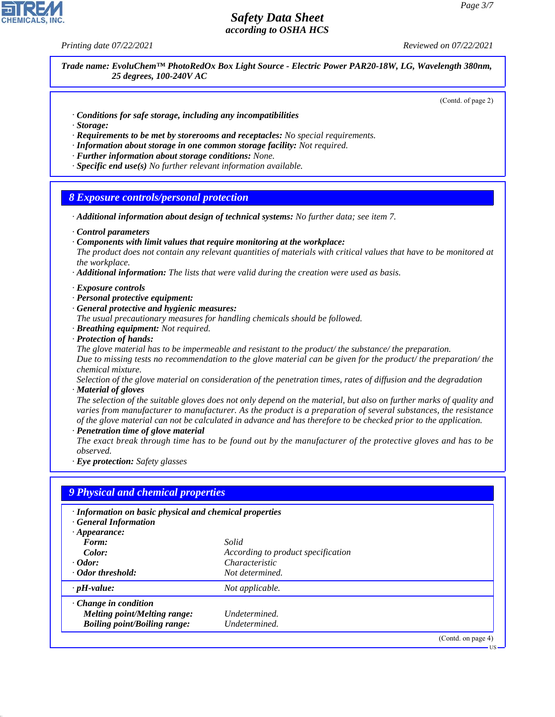*Printing date 07/22/2021 Reviewed on 07/22/2021*

*Trade name: EvoluChem™ PhotoRedOx Box Light Source - Electric Power PAR20-18W, LG, Wavelength 380nm, 25 degrees, 100-240V AC*

(Contd. of page 2)

- *· Conditions for safe storage, including any incompatibilities*
- *· Storage:*
- *· Requirements to be met by storerooms and receptacles: No special requirements.*
- *· Information about storage in one common storage facility: Not required.*
- *· Further information about storage conditions: None.*
- *· Specific end use(s) No further relevant information available.*

#### *8 Exposure controls/personal protection*

- *· Additional information about design of technical systems: No further data; see item 7.*
- *· Control parameters*
- *· Components with limit values that require monitoring at the workplace:*

*The product does not contain any relevant quantities of materials with critical values that have to be monitored at the workplace.*

- *· Additional information: The lists that were valid during the creation were used as basis.*
- *· Exposure controls*
- *· Personal protective equipment:*
- *· General protective and hygienic measures:*

*The usual precautionary measures for handling chemicals should be followed.*

- *· Breathing equipment: Not required.*
- *· Protection of hands:*

*The glove material has to be impermeable and resistant to the product/ the substance/ the preparation. Due to missing tests no recommendation to the glove material can be given for the product/ the preparation/ the chemical mixture.*

*Selection of the glove material on consideration of the penetration times, rates of diffusion and the degradation · Material of gloves*

*The selection of the suitable gloves does not only depend on the material, but also on further marks of quality and varies from manufacturer to manufacturer. As the product is a preparation of several substances, the resistance of the glove material can not be calculated in advance and has therefore to be checked prior to the application.*

*· Penetration time of glove material*

*The exact break through time has to be found out by the manufacturer of the protective gloves and has to be observed.*

*· Eye protection: Safety glasses*

| · Information on basic physical and chemical properties<br><b>General Information</b> |                                    |  |
|---------------------------------------------------------------------------------------|------------------------------------|--|
| $\cdot$ Appearance:                                                                   |                                    |  |
| Form:                                                                                 | Solid                              |  |
| Color:                                                                                | According to product specification |  |
| $\cdot$ Odor:                                                                         | Characteristic                     |  |
| · Odor threshold:                                                                     | Not determined.                    |  |
| $\cdot$ pH-value:                                                                     | Not applicable.                    |  |
| $\cdot$ Change in condition                                                           |                                    |  |
| Melting point/Melting range:                                                          | Undetermined.                      |  |
| <b>Boiling point/Boiling range:</b>                                                   | Undetermined.                      |  |



44.1.1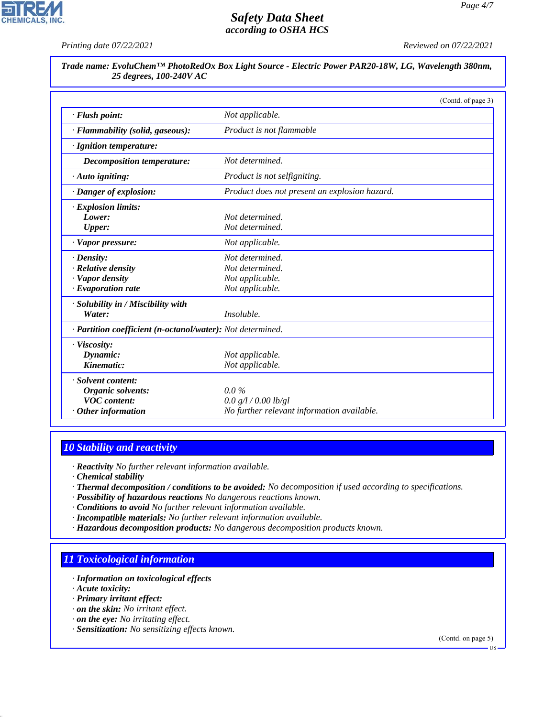**CHEMICALS, INC.** 

*Printing date 07/22/2021 Reviewed on 07/22/2021*

*Trade name: EvoluChem™ PhotoRedOx Box Light Source - Electric Power PAR20-18W, LG, Wavelength 380nm, 25 degrees, 100-240V AC*

|                                                            |                                               | (Contd. of page 3) |
|------------------------------------------------------------|-----------------------------------------------|--------------------|
| · Flash point:                                             | Not applicable.                               |                    |
| · Flammability (solid, gaseous):                           | Product is not flammable                      |                    |
| · Ignition temperature:                                    |                                               |                    |
| Decomposition temperature:                                 | Not determined.                               |                    |
| $\cdot$ Auto igniting:                                     | <i>Product is not selfigniting.</i>           |                    |
| · Danger of explosion:                                     | Product does not present an explosion hazard. |                    |
| $\cdot$ Explosion limits:                                  |                                               |                    |
| Lower:                                                     | Not determined.                               |                    |
| <b>Upper:</b>                                              | Not determined.                               |                    |
| $\cdot$ Vapor pressure:                                    | Not applicable.                               |                    |
| $\cdot$ Density:                                           | Not determined.                               |                    |
| $\cdot$ Relative density                                   | Not determined.                               |                    |
| · Vapor density                                            | Not applicable.                               |                    |
| $\cdot$ Evaporation rate                                   | Not applicable.                               |                    |
| · Solubility in / Miscibility with                         |                                               |                    |
| Water:                                                     | Insoluble.                                    |                    |
| · Partition coefficient (n-octanol/water): Not determined. |                                               |                    |
| $\cdot$ Viscosity:                                         |                                               |                    |
| Dynamic:                                                   | Not applicable.                               |                    |
| Kinematic:                                                 | Not applicable.                               |                    |
| · Solvent content:                                         |                                               |                    |
| Organic solvents:                                          | $0.0\%$                                       |                    |
| <b>VOC</b> content:                                        | 0.0 g/l / 0.00 lb/gl                          |                    |
| $·$ Other information                                      | No further relevant information available.    |                    |

# *10 Stability and reactivity*

*· Reactivity No further relevant information available.*

*· Chemical stability*

- *· Thermal decomposition / conditions to be avoided: No decomposition if used according to specifications.*
- *· Possibility of hazardous reactions No dangerous reactions known.*
- *· Conditions to avoid No further relevant information available.*
- *· Incompatible materials: No further relevant information available.*
- *· Hazardous decomposition products: No dangerous decomposition products known.*

# *11 Toxicological information*

- *· Information on toxicological effects*
- *· Acute toxicity:*

44.1.1

- *· Primary irritant effect:*
- *· on the skin: No irritant effect.*
- *· on the eye: No irritating effect.*
- *· Sensitization: No sensitizing effects known.*

(Contd. on page 5)

US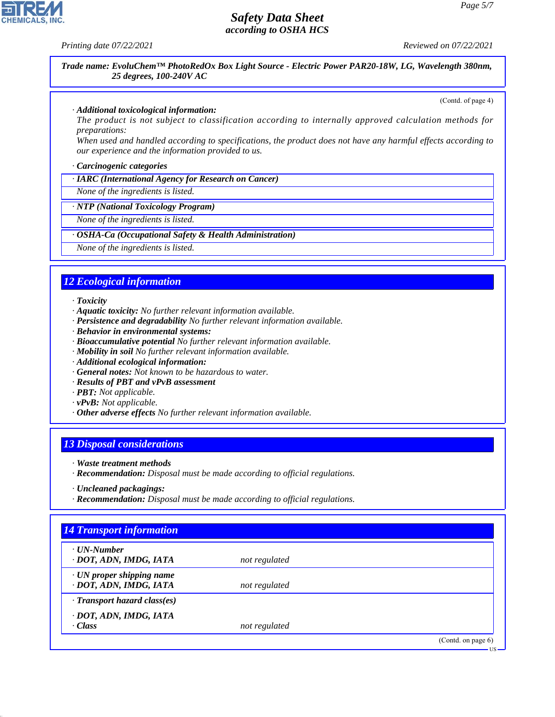**CHEMICALS, INC** 

*Printing date 07/22/2021 Reviewed on 07/22/2021*

*Trade name: EvoluChem™ PhotoRedOx Box Light Source - Electric Power PAR20-18W, LG, Wavelength 380nm, 25 degrees, 100-240V AC*

(Contd. of page 4)

#### *· Additional toxicological information:*

*The product is not subject to classification according to internally approved calculation methods for preparations:*

*When used and handled according to specifications, the product does not have any harmful effects according to our experience and the information provided to us.*

#### *· Carcinogenic categories*

*· IARC (International Agency for Research on Cancer)*

*None of the ingredients is listed.*

*· NTP (National Toxicology Program)*

*None of the ingredients is listed.*

#### *· OSHA-Ca (Occupational Safety & Health Administration)*

*None of the ingredients is listed.*

# *12 Ecological information*

*· Toxicity*

- *· Aquatic toxicity: No further relevant information available.*
- *· Persistence and degradability No further relevant information available.*
- *· Behavior in environmental systems:*
- *· Bioaccumulative potential No further relevant information available.*
- *· Mobility in soil No further relevant information available.*
- *· Additional ecological information:*
- *· General notes: Not known to be hazardous to water.*
- *· Results of PBT and vPvB assessment*
- *· PBT: Not applicable.*
- *· vPvB: Not applicable.*
- *· Other adverse effects No further relevant information available.*

## *13 Disposal considerations*

- *· Waste treatment methods*
- *· Recommendation: Disposal must be made according to official regulations.*

*· Recommendation: Disposal must be made according to official regulations.*

# *14 Transport information*

44.1.1

| $\cdot$ UN-Number<br>· DOT, ADN, IMDG, IATA               | not regulated |                    |
|-----------------------------------------------------------|---------------|--------------------|
| $\cdot$ UN proper shipping name<br>· DOT, ADN, IMDG, IATA | not regulated |                    |
| $\cdot$ Transport hazard class(es)                        |               |                    |
| · DOT, ADN, IMDG, IATA<br>$\cdot$ Class                   | not regulated |                    |
|                                                           |               | (Contd. on page 6) |
|                                                           |               | $US -$             |

*<sup>·</sup> Uncleaned packagings:*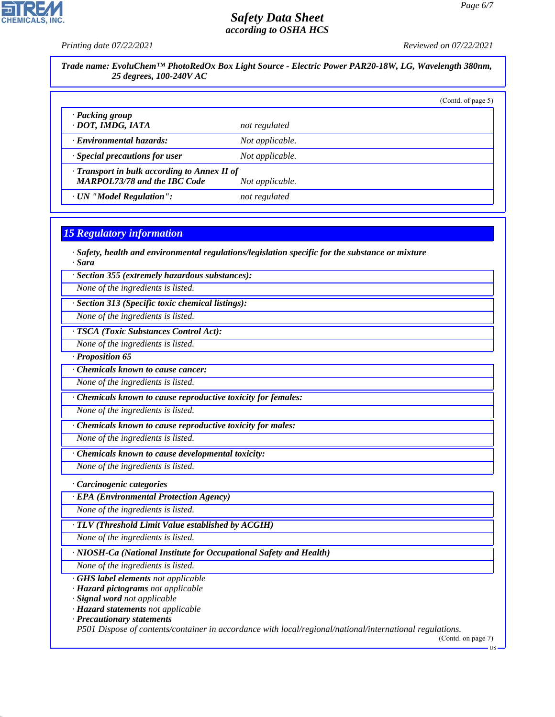**CHEMICALS, INC** 

*Printing date 07/22/2021 Reviewed on 07/22/2021*

| Trade name: EvoluChem™ PhotoRedOx Box Light Source - Electric Power PAR20-18W, LG, Wavelength 380nm,<br>25 degrees, 100-240V AC |                 |                    |  |
|---------------------------------------------------------------------------------------------------------------------------------|-----------------|--------------------|--|
|                                                                                                                                 |                 | (Contd. of page 5) |  |
| · Packing group<br>· DOT, IMDG, IATA                                                                                            | not regulated   |                    |  |
| · Environmental hazards:                                                                                                        | Not applicable. |                    |  |
| · Special precautions for user                                                                                                  | Not applicable. |                    |  |
| $\cdot$ Transport in bulk according to Annex II of<br><b>MARPOL73/78 and the IBC Code</b>                                       | Not applicable. |                    |  |
| · UN "Model Regulation":                                                                                                        | not regulated   |                    |  |

# *15 Regulatory information*

*· Safety, health and environmental regulations/legislation specific for the substance or mixture · Sara*

*· Section 355 (extremely hazardous substances):*

*None of the ingredients is listed.*

*· Section 313 (Specific toxic chemical listings):*

*None of the ingredients is listed.*

*· TSCA (Toxic Substances Control Act):*

*None of the ingredients is listed.*

*· Proposition 65*

*· Chemicals known to cause cancer:*

*None of the ingredients is listed.*

*· Chemicals known to cause reproductive toxicity for females:*

*None of the ingredients is listed.*

*· Chemicals known to cause reproductive toxicity for males:*

*None of the ingredients is listed.*

*· Chemicals known to cause developmental toxicity:*

*None of the ingredients is listed.*

*· Carcinogenic categories*

*· EPA (Environmental Protection Agency)*

*None of the ingredients is listed.*

*· TLV (Threshold Limit Value established by ACGIH)*

*None of the ingredients is listed.*

*· NIOSH-Ca (National Institute for Occupational Safety and Health)*

*None of the ingredients is listed.*

*· GHS label elements not applicable*

*· Hazard pictograms not applicable*

*· Signal word not applicable*

*· Hazard statements not applicable*

*· Precautionary statements*

44.1.1

*P501 Dispose of contents/container in accordance with local/regional/national/international regulations.*

(Contd. on page 7)

US